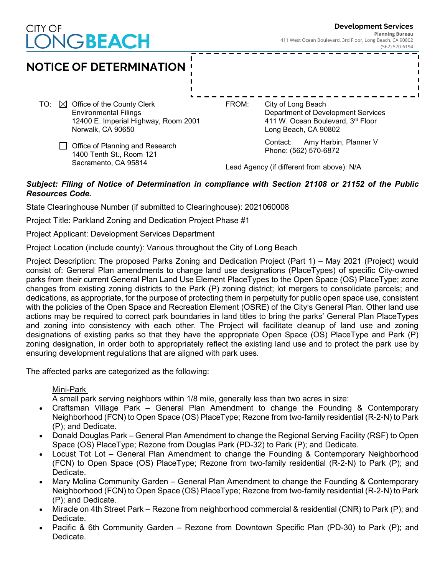# CITY OF GBEACH





#### *Subject: Filing of Notice of Determination in compliance with Section 21108 or 21152 of the Public Resources Code.*

State Clearinghouse Number (if submitted to Clearinghouse): 2021060008

Project Title: Parkland Zoning and Dedication Project Phase #1

Project Applicant: Development Services Department

Project Location (include county): Various throughout the City of Long Beach

Project Description: The proposed Parks Zoning and Dedication Project (Part 1) – May 2021 (Project) would consist of: General Plan amendments to change land use designations (PlaceTypes) of specific City-owned parks from their current General Plan Land Use Element PlaceTypes to the Open Space (OS) PlaceType; zone changes from existing zoning districts to the Park (P) zoning district; lot mergers to consolidate parcels; and dedications, as appropriate, for the purpose of protecting them in perpetuity for public open space use, consistent with the policies of the Open Space and Recreation Element (OSRE) of the City's General Plan. Other land use actions may be required to correct park boundaries in land titles to bring the parks' General Plan PlaceTypes and zoning into consistency with each other. The Project will facilitate cleanup of land use and zoning designations of existing parks so that they have the appropriate Open Space (OS) PlaceType and Park (P) zoning designation, in order both to appropriately reflect the existing land use and to protect the park use by ensuring development regulations that are aligned with park uses.

The affected parks are categorized as the following:

Mini-Park

A small park serving neighbors within 1/8 mile, generally less than two acres in size:

- Craftsman Village Park General Plan Amendment to change the Founding & Contemporary Neighborhood (FCN) to Open Space (OS) PlaceType; Rezone from two-family residential (R-2-N) to Park (P); and Dedicate.
- Donald Douglas Park General Plan Amendment to change the Regional Serving Facility (RSF) to Open Space (OS) PlaceType; Rezone from Douglas Park (PD-32) to Park (P); and Dedicate.
- Locust Tot Lot General Plan Amendment to change the Founding & Contemporary Neighborhood (FCN) to Open Space (OS) PlaceType; Rezone from two-family residential (R-2-N) to Park (P); and Dedicate.
- Mary Molina Community Garden General Plan Amendment to change the Founding & Contemporary Neighborhood (FCN) to Open Space (OS) PlaceType; Rezone from two-family residential (R-2-N) to Park (P); and Dedicate.
- Miracle on 4th Street Park Rezone from neighborhood commercial & residential (CNR) to Park (P); and Dedicate.
- Pacific & 6th Community Garden Rezone from Downtown Specific Plan (PD-30) to Park (P); and Dedicate.